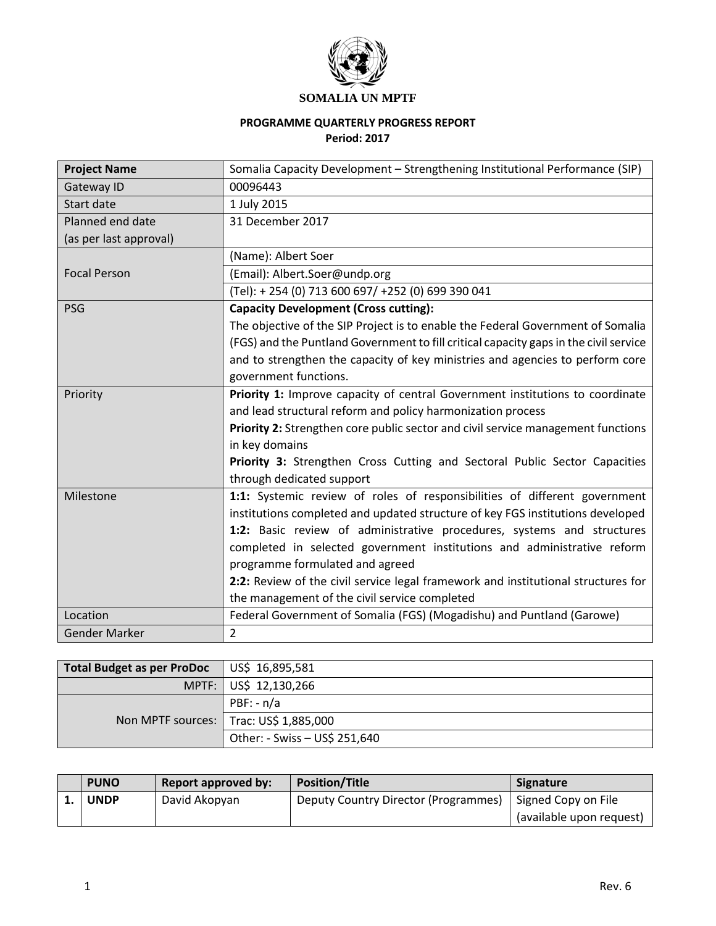

## **PROGRAMME QUARTERLY PROGRESS REPORT Period: 2017**

| <b>Project Name</b>    | Somalia Capacity Development - Strengthening Institutional Performance (SIP)          |
|------------------------|---------------------------------------------------------------------------------------|
| Gateway ID             | 00096443                                                                              |
| Start date             | 1 July 2015                                                                           |
| Planned end date       | 31 December 2017                                                                      |
| (as per last approval) |                                                                                       |
|                        | (Name): Albert Soer                                                                   |
| <b>Focal Person</b>    | (Email): Albert.Soer@undp.org                                                         |
|                        | (Tel): +254 (0) 713 600 697/ +252 (0) 699 390 041                                     |
| PSG                    | <b>Capacity Development (Cross cutting):</b>                                          |
|                        | The objective of the SIP Project is to enable the Federal Government of Somalia       |
|                        | (FGS) and the Puntland Government to fill critical capacity gaps in the civil service |
|                        | and to strengthen the capacity of key ministries and agencies to perform core         |
|                        | government functions.                                                                 |
| Priority               | Priority 1: Improve capacity of central Government institutions to coordinate         |
|                        | and lead structural reform and policy harmonization process                           |
|                        | Priority 2: Strengthen core public sector and civil service management functions      |
|                        | in key domains                                                                        |
|                        | Priority 3: Strengthen Cross Cutting and Sectoral Public Sector Capacities            |
|                        | through dedicated support                                                             |
| Milestone              | 1:1: Systemic review of roles of responsibilities of different government             |
|                        | institutions completed and updated structure of key FGS institutions developed        |
|                        | 1:2: Basic review of administrative procedures, systems and structures                |
|                        | completed in selected government institutions and administrative reform               |
|                        | programme formulated and agreed                                                       |
|                        | 2:2: Review of the civil service legal framework and institutional structures for     |
|                        | the management of the civil service completed                                         |
| Location               | Federal Government of Somalia (FGS) (Mogadishu) and Puntland (Garowe)                 |
| <b>Gender Marker</b>   | $\overline{2}$                                                                        |

| Total Budget as per ProDoc | $\Box$ US\$ 16,895,581                   |
|----------------------------|------------------------------------------|
|                            | MPTF: US\$ 12,130,266                    |
|                            | $PBF: -n/a$                              |
|                            | Non MPTF sources:   Trac: US\$ 1,885,000 |
|                            | Other: - Swiss - US\$ 251,640            |

| <b>PUNO</b> | <b>Report approved by:</b> | <b>Position/Title</b>                | Signature                |
|-------------|----------------------------|--------------------------------------|--------------------------|
| <b>UNDP</b> | David Akopyan              | Deputy Country Director (Programmes) | Signed Copy on File      |
|             |                            |                                      | (available upon request) |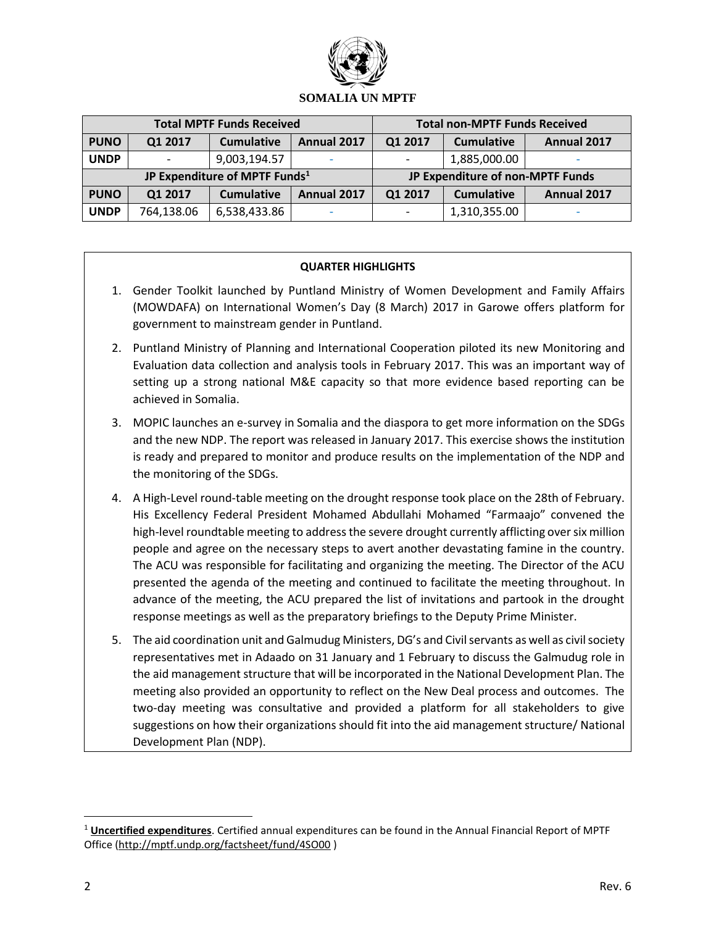

| <b>Total MPTF Funds Received</b>          |            |                   |                                  | <b>Total non-MPTF Funds Received</b> |                   |             |
|-------------------------------------------|------------|-------------------|----------------------------------|--------------------------------------|-------------------|-------------|
| <b>PUNO</b>                               | Q1 2017    | <b>Cumulative</b> | Annual 2017                      | Q1 2017                              | <b>Cumulative</b> | Annual 2017 |
| <b>UNDP</b>                               |            | 9,003,194.57      |                                  |                                      | 1,885,000.00      |             |
| JP Expenditure of MPTF Funds <sup>1</sup> |            |                   | JP Expenditure of non-MPTF Funds |                                      |                   |             |
| <b>PUNO</b>                               | Q1 2017    | <b>Cumulative</b> | Annual 2017                      | Q1 2017                              | <b>Cumulative</b> | Annual 2017 |
| <b>UNDP</b>                               | 764,138.06 | 6,538,433.86      |                                  |                                      | 1,310,355.00      |             |

## **QUARTER HIGHLIGHTS**

- 1. Gender Toolkit launched by Puntland Ministry of Women Development and Family Affairs (MOWDAFA) on International Women's Day (8 March) 2017 in Garowe offers platform for government to mainstream gender in Puntland.
- 2. Puntland Ministry of Planning and International Cooperation piloted its new Monitoring and Evaluation data collection and analysis tools in February 2017. This was an important way of setting up a strong national M&E capacity so that more evidence based reporting can be achieved in Somalia.
- 3. MOPIC launches an e-survey in Somalia and the diaspora to get more information on the SDGs and the new NDP. The report was released in January 2017. This exercise shows the institution is ready and prepared to monitor and produce results on the implementation of the NDP and the monitoring of the SDGs.
- 4. A High-Level round-table meeting on the drought response took place on the 28th of February. His Excellency Federal President Mohamed Abdullahi Mohamed "Farmaajo" convened the high-level roundtable meeting to address the severe drought currently afflicting over six million people and agree on the necessary steps to avert another devastating famine in the country. The ACU was responsible for facilitating and organizing the meeting. The Director of the ACU presented the agenda of the meeting and continued to facilitate the meeting throughout. In advance of the meeting, the ACU prepared the list of invitations and partook in the drought response meetings as well as the preparatory briefings to the Deputy Prime Minister.
- 5. The aid coordination unit and Galmudug Ministers, DG's and Civil servants as well as civil society representatives met in Adaado on 31 January and 1 February to discuss the Galmudug role in the aid management structure that will be incorporated in the National Development Plan. The meeting also provided an opportunity to reflect on the New Deal process and outcomes. The two-day meeting was consultative and provided a platform for all stakeholders to give suggestions on how their organizations should fit into the aid management structure/ National Development Plan (NDP).

 $\overline{a}$ 

<sup>1</sup> **Uncertified expenditures**. Certified annual expenditures can be found in the Annual Financial Report of MPTF Office [\(http://mptf.undp.org/factsheet/fund/4SO00](http://mptf.undp.org/factsheet/fund/4SO00) )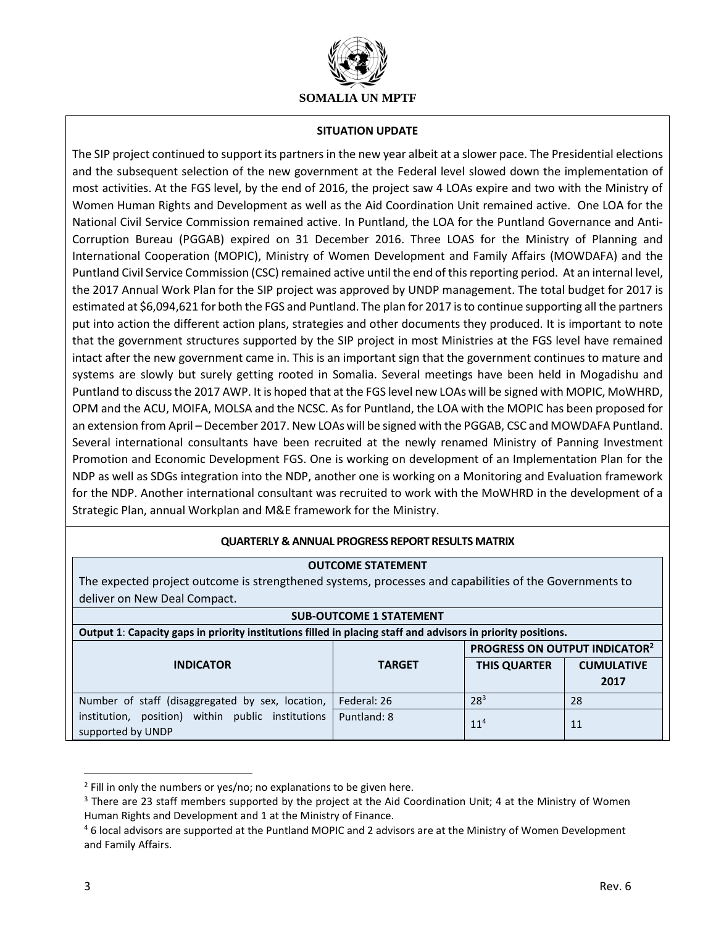

### **SITUATION UPDATE**

The SIP project continued to support its partners in the new year albeit at a slower pace. The Presidential elections and the subsequent selection of the new government at the Federal level slowed down the implementation of most activities. At the FGS level, by the end of 2016, the project saw 4 LOAs expire and two with the Ministry of Women Human Rights and Development as well as the Aid Coordination Unit remained active. One LOA for the National Civil Service Commission remained active. In Puntland, the LOA for the Puntland Governance and Anti-Corruption Bureau (PGGAB) expired on 31 December 2016. Three LOAS for the Ministry of Planning and International Cooperation (MOPIC), Ministry of Women Development and Family Affairs (MOWDAFA) and the Puntland Civil Service Commission (CSC) remained active until the end of this reporting period. At an internal level, the 2017 Annual Work Plan for the SIP project was approved by UNDP management. The total budget for 2017 is estimated at \$6,094,621 for both the FGS and Puntland. The plan for 2017 is to continue supporting all the partners put into action the different action plans, strategies and other documents they produced. It is important to note that the government structures supported by the SIP project in most Ministries at the FGS level have remained intact after the new government came in. This is an important sign that the government continues to mature and systems are slowly but surely getting rooted in Somalia. Several meetings have been held in Mogadishu and Puntland to discuss the 2017 AWP. It is hoped that at the FGS level new LOAs will be signed with MOPIC, MoWHRD, OPM and the ACU, MOIFA, MOLSA and the NCSC. As for Puntland, the LOA with the MOPIC has been proposed for an extension from April – December 2017. New LOAs will be signed with the PGGAB, CSC and MOWDAFA Puntland. Several international consultants have been recruited at the newly renamed Ministry of Panning Investment Promotion and Economic Development FGS. One is working on development of an Implementation Plan for the NDP as well as SDGs integration into the NDP, another one is working on a Monitoring and Evaluation framework for the NDP. Another international consultant was recruited to work with the MoWHRD in the development of a Strategic Plan, annual Workplan and M&E framework for the Ministry.

## **QUARTERLY & ANNUAL PROGRESS REPORT RESULTS MATRIX**

### **OUTCOME STATEMENT**

The expected project outcome is strengthened systems, processes and capabilities of the Governments to deliver on New Deal Compact.

| <b>SUB-OUTCOME 1 STATEMENT</b>                                                                               |               |                                           |                   |
|--------------------------------------------------------------------------------------------------------------|---------------|-------------------------------------------|-------------------|
| Output 1: Capacity gaps in priority institutions filled in placing staff and advisors in priority positions. |               |                                           |                   |
|                                                                                                              |               | PROGRESS ON OUTPUT INDICATOR <sup>2</sup> |                   |
| <b>INDICATOR</b>                                                                                             | <b>TARGET</b> | <b>THIS QUARTER</b>                       | <b>CUMULATIVE</b> |
|                                                                                                              |               |                                           | 2017              |
| Number of staff (disaggregated by sex, location,                                                             | Federal: 26   | $28^{3}$                                  | 28                |
| institution, position) within public institutions<br>supported by UNDP                                       | Puntland: 8   | $11^{4}$                                  | 11                |

<sup>&</sup>lt;sup>2</sup> Fill in only the numbers or yes/no; no explanations to be given here.

<sup>&</sup>lt;sup>3</sup> There are 23 staff members supported by the project at the Aid Coordination Unit; 4 at the Ministry of Women Human Rights and Development and 1 at the Ministry of Finance.

<sup>4</sup> 6 local advisors are supported at the Puntland MOPIC and 2 advisors are at the Ministry of Women Development and Family Affairs.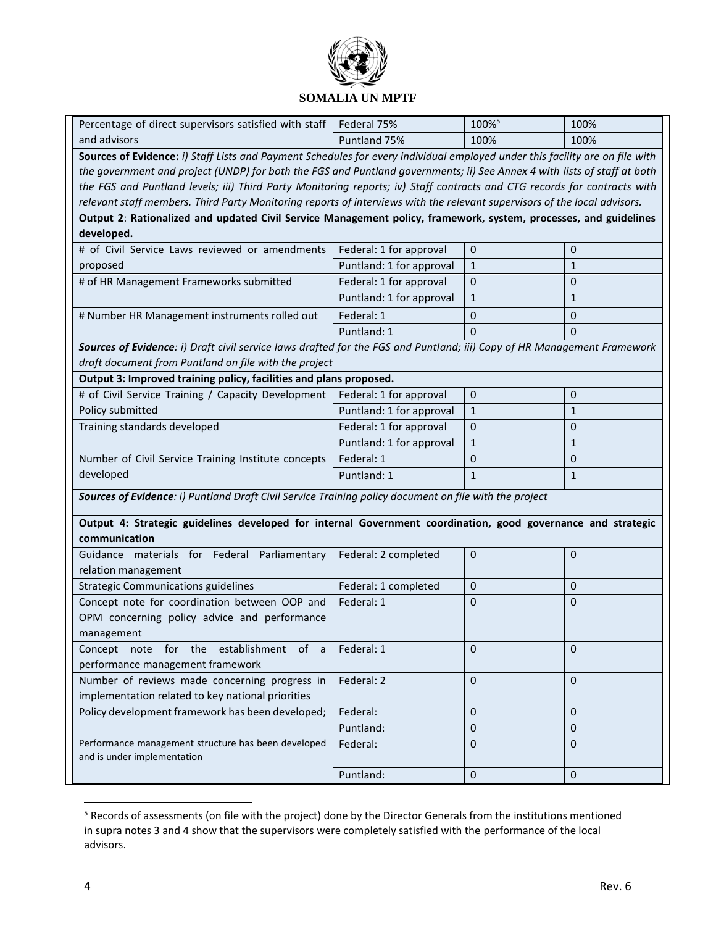

| and advisors<br>Puntland 75%<br>100%<br>100%<br>Sources of Evidence: i) Staff Lists and Payment Schedules for every individual employed under this facility are on file with<br>the government and project (UNDP) for both the FGS and Puntland governments; ii) See Annex 4 with lists of staff at both<br>the FGS and Puntland levels; iii) Third Party Monitoring reports; iv) Staff contracts and CTG records for contracts with<br>relevant staff members. Third Party Monitoring reports of interviews with the relevant supervisors of the local advisors.<br>Output 2: Rationalized and updated Civil Service Management policy, framework, system, processes, and guidelines<br>developed.<br># of Civil Service Laws reviewed or amendments<br>$\mathbf 0$<br>$\mathbf 0$<br>Federal: 1 for approval<br>Puntland: 1 for approval<br>proposed<br>$\mathbf{1}$<br>$\mathbf{1}$<br>Federal: 1 for approval<br># of HR Management Frameworks submitted<br>$\mathbf 0$<br>$\mathbf{0}$<br>Puntland: 1 for approval<br>$\mathbf{1}$<br>$\mathbf{1}$<br>Federal: 1<br># Number HR Management instruments rolled out<br>0<br>0<br>Puntland: 1<br>$\mathbf{0}$<br>$\Omega$<br>Sources of Evidence: i) Draft civil service laws drafted for the FGS and Puntland; iii) Copy of HR Management Framework<br>draft document from Puntland on file with the project | Percentage of direct supervisors satisfied with staff              | Federal 75% | 100% <sup>5</sup> | 100% |
|-----------------------------------------------------------------------------------------------------------------------------------------------------------------------------------------------------------------------------------------------------------------------------------------------------------------------------------------------------------------------------------------------------------------------------------------------------------------------------------------------------------------------------------------------------------------------------------------------------------------------------------------------------------------------------------------------------------------------------------------------------------------------------------------------------------------------------------------------------------------------------------------------------------------------------------------------------------------------------------------------------------------------------------------------------------------------------------------------------------------------------------------------------------------------------------------------------------------------------------------------------------------------------------------------------------------------------------------------------------------|--------------------------------------------------------------------|-------------|-------------------|------|
|                                                                                                                                                                                                                                                                                                                                                                                                                                                                                                                                                                                                                                                                                                                                                                                                                                                                                                                                                                                                                                                                                                                                                                                                                                                                                                                                                                 |                                                                    |             |                   |      |
|                                                                                                                                                                                                                                                                                                                                                                                                                                                                                                                                                                                                                                                                                                                                                                                                                                                                                                                                                                                                                                                                                                                                                                                                                                                                                                                                                                 |                                                                    |             |                   |      |
|                                                                                                                                                                                                                                                                                                                                                                                                                                                                                                                                                                                                                                                                                                                                                                                                                                                                                                                                                                                                                                                                                                                                                                                                                                                                                                                                                                 |                                                                    |             |                   |      |
|                                                                                                                                                                                                                                                                                                                                                                                                                                                                                                                                                                                                                                                                                                                                                                                                                                                                                                                                                                                                                                                                                                                                                                                                                                                                                                                                                                 |                                                                    |             |                   |      |
|                                                                                                                                                                                                                                                                                                                                                                                                                                                                                                                                                                                                                                                                                                                                                                                                                                                                                                                                                                                                                                                                                                                                                                                                                                                                                                                                                                 |                                                                    |             |                   |      |
|                                                                                                                                                                                                                                                                                                                                                                                                                                                                                                                                                                                                                                                                                                                                                                                                                                                                                                                                                                                                                                                                                                                                                                                                                                                                                                                                                                 |                                                                    |             |                   |      |
|                                                                                                                                                                                                                                                                                                                                                                                                                                                                                                                                                                                                                                                                                                                                                                                                                                                                                                                                                                                                                                                                                                                                                                                                                                                                                                                                                                 |                                                                    |             |                   |      |
|                                                                                                                                                                                                                                                                                                                                                                                                                                                                                                                                                                                                                                                                                                                                                                                                                                                                                                                                                                                                                                                                                                                                                                                                                                                                                                                                                                 |                                                                    |             |                   |      |
|                                                                                                                                                                                                                                                                                                                                                                                                                                                                                                                                                                                                                                                                                                                                                                                                                                                                                                                                                                                                                                                                                                                                                                                                                                                                                                                                                                 |                                                                    |             |                   |      |
|                                                                                                                                                                                                                                                                                                                                                                                                                                                                                                                                                                                                                                                                                                                                                                                                                                                                                                                                                                                                                                                                                                                                                                                                                                                                                                                                                                 |                                                                    |             |                   |      |
|                                                                                                                                                                                                                                                                                                                                                                                                                                                                                                                                                                                                                                                                                                                                                                                                                                                                                                                                                                                                                                                                                                                                                                                                                                                                                                                                                                 |                                                                    |             |                   |      |
|                                                                                                                                                                                                                                                                                                                                                                                                                                                                                                                                                                                                                                                                                                                                                                                                                                                                                                                                                                                                                                                                                                                                                                                                                                                                                                                                                                 |                                                                    |             |                   |      |
|                                                                                                                                                                                                                                                                                                                                                                                                                                                                                                                                                                                                                                                                                                                                                                                                                                                                                                                                                                                                                                                                                                                                                                                                                                                                                                                                                                 |                                                                    |             |                   |      |
|                                                                                                                                                                                                                                                                                                                                                                                                                                                                                                                                                                                                                                                                                                                                                                                                                                                                                                                                                                                                                                                                                                                                                                                                                                                                                                                                                                 |                                                                    |             |                   |      |
|                                                                                                                                                                                                                                                                                                                                                                                                                                                                                                                                                                                                                                                                                                                                                                                                                                                                                                                                                                                                                                                                                                                                                                                                                                                                                                                                                                 |                                                                    |             |                   |      |
|                                                                                                                                                                                                                                                                                                                                                                                                                                                                                                                                                                                                                                                                                                                                                                                                                                                                                                                                                                                                                                                                                                                                                                                                                                                                                                                                                                 | Output 3: Improved training policy, facilities and plans proposed. |             |                   |      |
| # of Civil Service Training / Capacity Development<br>Federal: 1 for approval<br>$\mathbf 0$<br>$\mathbf 0$                                                                                                                                                                                                                                                                                                                                                                                                                                                                                                                                                                                                                                                                                                                                                                                                                                                                                                                                                                                                                                                                                                                                                                                                                                                     |                                                                    |             |                   |      |
| Policy submitted<br>Puntland: 1 for approval<br>$\mathbf{1}$<br>$\mathbf{1}$                                                                                                                                                                                                                                                                                                                                                                                                                                                                                                                                                                                                                                                                                                                                                                                                                                                                                                                                                                                                                                                                                                                                                                                                                                                                                    |                                                                    |             |                   |      |
| Training standards developed<br>Federal: 1 for approval<br>$\mathbf 0$<br>$\mathbf 0$                                                                                                                                                                                                                                                                                                                                                                                                                                                                                                                                                                                                                                                                                                                                                                                                                                                                                                                                                                                                                                                                                                                                                                                                                                                                           |                                                                    |             |                   |      |
| Puntland: 1 for approval<br>$\mathbf{1}$<br>$\mathbf{1}$                                                                                                                                                                                                                                                                                                                                                                                                                                                                                                                                                                                                                                                                                                                                                                                                                                                                                                                                                                                                                                                                                                                                                                                                                                                                                                        |                                                                    |             |                   |      |
| Federal: 1<br>Number of Civil Service Training Institute concepts<br>0<br>$\mathbf{0}$                                                                                                                                                                                                                                                                                                                                                                                                                                                                                                                                                                                                                                                                                                                                                                                                                                                                                                                                                                                                                                                                                                                                                                                                                                                                          |                                                                    |             |                   |      |
| developed<br>Puntland: 1<br>$\mathbf{1}$<br>$\mathbf{1}$                                                                                                                                                                                                                                                                                                                                                                                                                                                                                                                                                                                                                                                                                                                                                                                                                                                                                                                                                                                                                                                                                                                                                                                                                                                                                                        |                                                                    |             |                   |      |
| Sources of Evidence: i) Puntland Draft Civil Service Training policy document on file with the project                                                                                                                                                                                                                                                                                                                                                                                                                                                                                                                                                                                                                                                                                                                                                                                                                                                                                                                                                                                                                                                                                                                                                                                                                                                          |                                                                    |             |                   |      |
|                                                                                                                                                                                                                                                                                                                                                                                                                                                                                                                                                                                                                                                                                                                                                                                                                                                                                                                                                                                                                                                                                                                                                                                                                                                                                                                                                                 |                                                                    |             |                   |      |
| Output 4: Strategic guidelines developed for internal Government coordination, good governance and strategic                                                                                                                                                                                                                                                                                                                                                                                                                                                                                                                                                                                                                                                                                                                                                                                                                                                                                                                                                                                                                                                                                                                                                                                                                                                    |                                                                    |             |                   |      |
| communication                                                                                                                                                                                                                                                                                                                                                                                                                                                                                                                                                                                                                                                                                                                                                                                                                                                                                                                                                                                                                                                                                                                                                                                                                                                                                                                                                   |                                                                    |             |                   |      |
| Guidance materials for Federal Parliamentary<br>Federal: 2 completed<br>$\mathbf 0$<br>$\mathbf{0}$                                                                                                                                                                                                                                                                                                                                                                                                                                                                                                                                                                                                                                                                                                                                                                                                                                                                                                                                                                                                                                                                                                                                                                                                                                                             |                                                                    |             |                   |      |
| relation management                                                                                                                                                                                                                                                                                                                                                                                                                                                                                                                                                                                                                                                                                                                                                                                                                                                                                                                                                                                                                                                                                                                                                                                                                                                                                                                                             |                                                                    |             |                   |      |
| <b>Strategic Communications guidelines</b><br>Federal: 1 completed<br>$\mathbf 0$<br>$\mathbf{0}$                                                                                                                                                                                                                                                                                                                                                                                                                                                                                                                                                                                                                                                                                                                                                                                                                                                                                                                                                                                                                                                                                                                                                                                                                                                               |                                                                    |             |                   |      |
| Concept note for coordination between OOP and<br>Federal: 1<br>$\mathbf 0$<br>$\mathbf{0}$                                                                                                                                                                                                                                                                                                                                                                                                                                                                                                                                                                                                                                                                                                                                                                                                                                                                                                                                                                                                                                                                                                                                                                                                                                                                      |                                                                    |             |                   |      |
| OPM concerning policy advice and performance                                                                                                                                                                                                                                                                                                                                                                                                                                                                                                                                                                                                                                                                                                                                                                                                                                                                                                                                                                                                                                                                                                                                                                                                                                                                                                                    |                                                                    |             |                   |      |
| management                                                                                                                                                                                                                                                                                                                                                                                                                                                                                                                                                                                                                                                                                                                                                                                                                                                                                                                                                                                                                                                                                                                                                                                                                                                                                                                                                      |                                                                    |             |                   |      |
| Concept note for the establishment of a<br>Federal: 1<br>$\mathbf 0$<br>$\mathbf{0}$                                                                                                                                                                                                                                                                                                                                                                                                                                                                                                                                                                                                                                                                                                                                                                                                                                                                                                                                                                                                                                                                                                                                                                                                                                                                            |                                                                    |             |                   |      |
| performance management framework                                                                                                                                                                                                                                                                                                                                                                                                                                                                                                                                                                                                                                                                                                                                                                                                                                                                                                                                                                                                                                                                                                                                                                                                                                                                                                                                |                                                                    |             |                   |      |
| Number of reviews made concerning progress in<br>Federal: 2<br>$\mathbf 0$<br>$\Omega$                                                                                                                                                                                                                                                                                                                                                                                                                                                                                                                                                                                                                                                                                                                                                                                                                                                                                                                                                                                                                                                                                                                                                                                                                                                                          |                                                                    |             |                   |      |
| implementation related to key national priorities                                                                                                                                                                                                                                                                                                                                                                                                                                                                                                                                                                                                                                                                                                                                                                                                                                                                                                                                                                                                                                                                                                                                                                                                                                                                                                               |                                                                    |             |                   |      |
| Policy development framework has been developed;<br>Federal:<br>$\mathbf{0}$<br>$\mathbf{0}$                                                                                                                                                                                                                                                                                                                                                                                                                                                                                                                                                                                                                                                                                                                                                                                                                                                                                                                                                                                                                                                                                                                                                                                                                                                                    |                                                                    |             |                   |      |
| Puntland:<br>$\mathbf 0$<br>$\mathbf{0}$                                                                                                                                                                                                                                                                                                                                                                                                                                                                                                                                                                                                                                                                                                                                                                                                                                                                                                                                                                                                                                                                                                                                                                                                                                                                                                                        |                                                                    |             |                   |      |
| Performance management structure has been developed<br>Federal:<br>$\mathbf{0}$<br>$\Omega$<br>and is under implementation                                                                                                                                                                                                                                                                                                                                                                                                                                                                                                                                                                                                                                                                                                                                                                                                                                                                                                                                                                                                                                                                                                                                                                                                                                      |                                                                    |             |                   |      |
| $\pmb{0}$<br>Puntland:<br>$\mathbf 0$                                                                                                                                                                                                                                                                                                                                                                                                                                                                                                                                                                                                                                                                                                                                                                                                                                                                                                                                                                                                                                                                                                                                                                                                                                                                                                                           |                                                                    |             |                   |      |

<sup>&</sup>lt;sup>5</sup> Records of assessments (on file with the project) done by the Director Generals from the institutions mentioned in supra notes 3 and 4 show that the supervisors were completely satisfied with the performance of the local advisors.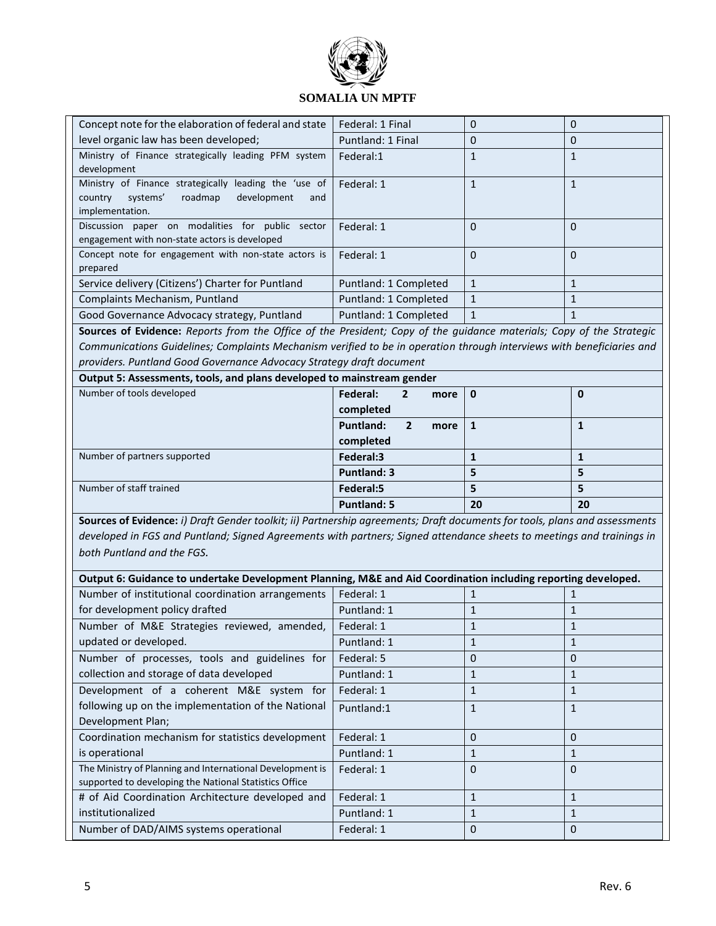

| Concept note for the elaboration of federal and state  | Federal: 1 Final      | $\Omega$     | 0 |
|--------------------------------------------------------|-----------------------|--------------|---|
| level organic law has been developed;                  | Puntland: 1 Final     | $\Omega$     | 0 |
| Ministry of Finance strategically leading PFM system   | Federal:1             | 1            |   |
| development                                            |                       |              |   |
| Ministry of Finance strategically leading the 'use of  | Federal: 1            | 1            |   |
| development<br>systems'<br>roadmap<br>country<br>and   |                       |              |   |
| implementation.                                        |                       |              |   |
| paper on modalities for public<br>Discussion<br>sector | Federal: 1            | $\Omega$     | 0 |
| engagement with non-state actors is developed          |                       |              |   |
| Concept note for engagement with non-state actors is   | Federal: 1            | $\Omega$     | 0 |
| prepared                                               |                       |              |   |
| Service delivery (Citizens') Charter for Puntland      | Puntland: 1 Completed | $\mathbf{1}$ |   |
| Complaints Mechanism, Puntland                         | Puntland: 1 Completed | $\mathbf{1}$ |   |
| Good Governance Advocacy strategy, Puntland            | Puntland: 1 Completed | $\mathbf{1}$ |   |

**Sources of Evidence:** *Reports from the Office of the President; Copy of the guidance materials; Copy of the Strategic Communications Guidelines; Complaints Mechanism verified to be in operation through interviews with beneficiaries and providers. Puntland Good Governance Advocacy Strategy draft document*

**Output 5: Assessments, tools, and plans developed to mainstream gender**

| Number of tools developed    | Federal:<br>$\overline{2}$<br>more $\vert 0 \vert$ |    |    |
|------------------------------|----------------------------------------------------|----|----|
|                              | completed                                          |    |    |
|                              | <b>Puntland:</b><br>2<br>more                      |    |    |
|                              | completed                                          |    |    |
| Number of partners supported | Federal:3                                          |    |    |
|                              | <b>Puntland: 3</b>                                 |    |    |
| Number of staff trained      | Federal:5                                          |    |    |
|                              | <b>Puntland: 5</b>                                 | 20 | 20 |

**Sources of Evidence:** *i) Draft Gender toolkit; ii) Partnership agreements; Draft documents for tools, plans and assessments developed in FGS and Puntland; Signed Agreements with partners; Signed attendance sheets to meetings and trainings in both Puntland and the FGS.*

| Output 6: Guidance to undertake Development Planning, M&E and Aid Coordination including reporting developed. |             |              |   |
|---------------------------------------------------------------------------------------------------------------|-------------|--------------|---|
| Number of institutional coordination arrangements                                                             | Federal: 1  |              |   |
| for development policy drafted                                                                                | Puntland: 1 | $\mathbf{1}$ |   |
| Number of M&E Strategies reviewed, amended,                                                                   | Federal: 1  | 1            |   |
| updated or developed.                                                                                         | Puntland: 1 | 1            |   |
| Number of processes, tools and guidelines for                                                                 | Federal: 5  | $\Omega$     | 0 |
| collection and storage of data developed                                                                      | Puntland: 1 | 1            |   |
| Development of a coherent M&E system for                                                                      | Federal: 1  | 1            |   |
| following up on the implementation of the National                                                            | Puntland:1  | $\mathbf{1}$ | 1 |
| Development Plan;                                                                                             |             |              |   |
| Coordination mechanism for statistics development                                                             | Federal: 1  | $\Omega$     | 0 |
| is operational                                                                                                | Puntland: 1 | 1            |   |
| The Ministry of Planning and International Development is                                                     | Federal: 1  | $\Omega$     | 0 |
| supported to developing the National Statistics Office                                                        |             |              |   |
| # of Aid Coordination Architecture developed and                                                              | Federal: 1  | $\mathbf{1}$ |   |
| institutionalized                                                                                             | Puntland: 1 | 1            |   |
| Number of DAD/AIMS systems operational                                                                        | Federal: 1  | $\Omega$     | 0 |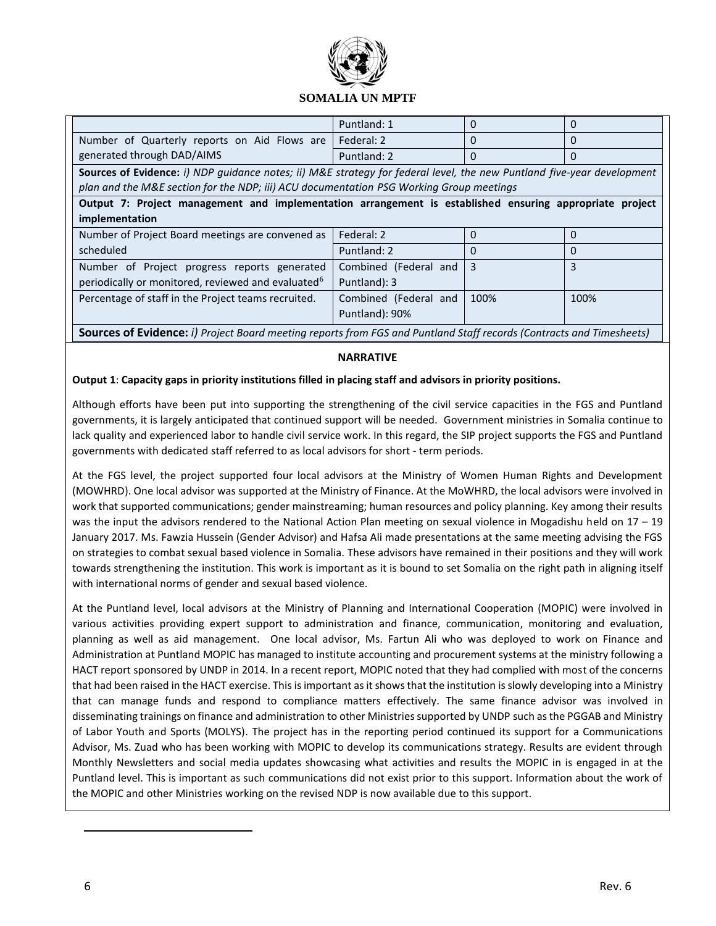

|                                                                                                                             | Puntland: 1           | $\Omega$ | 0    |
|-----------------------------------------------------------------------------------------------------------------------------|-----------------------|----------|------|
| Number of Quarterly reports on Aid Flows are                                                                                | Federal: 2            | $\Omega$ | 0    |
| generated through DAD/AIMS                                                                                                  | Puntland: 2           | $\Omega$ | 0    |
| Sources of Evidence: i) NDP quidance notes; ii) M&E strategy for federal level, the new Puntland five-year development      |                       |          |      |
| plan and the M&E section for the NDP; iii) ACU documentation PSG Working Group meetings                                     |                       |          |      |
| Output 7: Project management and implementation arrangement is established ensuring appropriate project                     |                       |          |      |
| implementation                                                                                                              |                       |          |      |
| Number of Project Board meetings are convened as                                                                            | Federal: 2            | $\Omega$ | 0    |
| scheduled                                                                                                                   | Puntland: 2           | $\Omega$ | 0    |
| Number of Project progress reports generated                                                                                | Combined (Federal and | 3        | 3    |
| periodically or monitored, reviewed and evaluated <sup>6</sup>                                                              | Puntland): 3          |          |      |
| Percentage of staff in the Project teams recruited.                                                                         | Combined (Federal and | 100%     | 100% |
|                                                                                                                             | Puntland): 90%        |          |      |
| <b>Sources of Evidence:</b> i) Project Board meeting reports from FGS and Puntland Staff records (Contracts and Timesheets) |                       |          |      |

### **NARRATIVE**

### **Output 1**: **Capacity gaps in priority institutions filled in placing staff and advisors in priority positions.**

Although efforts have been put into supporting the strengthening of the civil service capacities in the FGS and Puntland governments, it is largely anticipated that continued support will be needed. Government ministries in Somalia continue to lack quality and experienced labor to handle civil service work. In this regard, the SIP project supports the FGS and Puntland governments with dedicated staff referred to as local advisors for short - term periods.

At the FGS level, the project supported four local advisors at the Ministry of Women Human Rights and Development (MOWHRD). One local advisor was supported at the Ministry of Finance. At the MoWHRD, the local advisors were involved in work that supported communications; gender mainstreaming; human resources and policy planning. Key among their results was the input the advisors rendered to the National Action Plan meeting on sexual violence in Mogadishu held on 17 – 19 January 2017. Ms. Fawzia Hussein (Gender Advisor) and Hafsa Ali made presentations at the same meeting advising the FGS on strategies to combat sexual based violence in Somalia. These advisors have remained in their positions and they will work towards strengthening the institution. This work is important as it is bound to set Somalia on the right path in aligning itself with international norms of gender and sexual based violence.

At the Puntland level, local advisors at the Ministry of Planning and International Cooperation (MOPIC) were involved in various activities providing expert support to administration and finance, communication, monitoring and evaluation, planning as well as aid management. One local advisor, Ms. Fartun Ali who was deployed to work on Finance and Administration at Puntland MOPIC has managed to institute accounting and procurement systems at the ministry following a HACT report sponsored by UNDP in 2014. In a recent report, MOPIC noted that they had complied with most of the concerns that had been raised in the HACT exercise. This is important as it shows that the institution is slowly developing into a Ministry that can manage funds and respond to compliance matters effectively. The same finance advisor was involved in disseminating trainings on finance and administration to other Ministries supported by UNDP such as the PGGAB and Ministry of Labor Youth and Sports (MOLYS). The project has in the reporting period continued its support for a Communications Advisor, Ms. Zuad who has been working with MOPIC to develop its communications strategy. Results are evident through Monthly Newsletters and social media updates showcasing what activities and results the MOPIC in is engaged in at the Puntland level. This is important as such communications did not exist prior to this support. Information about the work of the MOPIC and other Ministries working on the revised NDP is now available due to this support.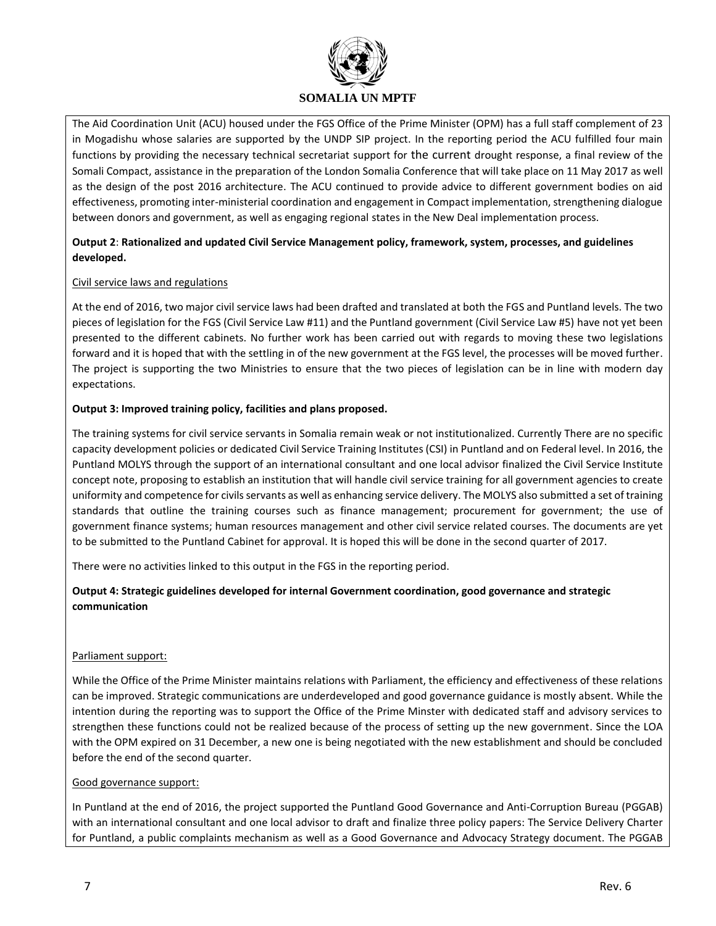

The Aid Coordination Unit (ACU) housed under the FGS Office of the Prime Minister (OPM) has a full staff complement of 23 in Mogadishu whose salaries are supported by the UNDP SIP project. In the reporting period the ACU fulfilled four main functions by providing the necessary technical secretariat support for the current drought response, a final review of the Somali Compact, assistance in the preparation of the London Somalia Conference that will take place on 11 May 2017 as well as the design of the post 2016 architecture. The ACU continued to provide advice to different government bodies on aid effectiveness, promoting inter-ministerial coordination and engagement in Compact implementation, strengthening dialogue between donors and government, as well as engaging regional states in the New Deal implementation process.

### **Output 2**: **Rationalized and updated Civil Service Management policy, framework, system, processes, and guidelines developed.**

### Civil service laws and regulations

At the end of 2016, two major civil service laws had been drafted and translated at both the FGS and Puntland levels. The two pieces of legislation for the FGS (Civil Service Law #11) and the Puntland government (Civil Service Law #5) have not yet been presented to the different cabinets. No further work has been carried out with regards to moving these two legislations forward and it is hoped that with the settling in of the new government at the FGS level, the processes will be moved further. The project is supporting the two Ministries to ensure that the two pieces of legislation can be in line with modern day expectations.

### **Output 3: Improved training policy, facilities and plans proposed.**

The training systems for civil service servants in Somalia remain weak or not institutionalized. Currently There are no specific capacity development policies or dedicated Civil Service Training Institutes (CSI) in Puntland and on Federal level. In 2016, the Puntland MOLYS through the support of an international consultant and one local advisor finalized the Civil Service Institute concept note, proposing to establish an institution that will handle civil service training for all government agencies to create uniformity and competence for civils servants as well as enhancing service delivery. The MOLYS also submitted a set of training standards that outline the training courses such as finance management; procurement for government; the use of government finance systems; human resources management and other civil service related courses. The documents are yet to be submitted to the Puntland Cabinet for approval. It is hoped this will be done in the second quarter of 2017.

There were no activities linked to this output in the FGS in the reporting period.

## **Output 4: Strategic guidelines developed for internal Government coordination, good governance and strategic communication**

### Parliament support:

While the Office of the Prime Minister maintains relations with Parliament, the efficiency and effectiveness of these relations can be improved. Strategic communications are underdeveloped and good governance guidance is mostly absent. While the intention during the reporting was to support the Office of the Prime Minster with dedicated staff and advisory services to strengthen these functions could not be realized because of the process of setting up the new government. Since the LOA with the OPM expired on 31 December, a new one is being negotiated with the new establishment and should be concluded before the end of the second quarter.

### Good governance support:

In Puntland at the end of 2016, the project supported the Puntland Good Governance and Anti-Corruption Bureau (PGGAB) with an international consultant and one local advisor to draft and finalize three policy papers: The Service Delivery Charter for Puntland, a public complaints mechanism as well as a Good Governance and Advocacy Strategy document. The PGGAB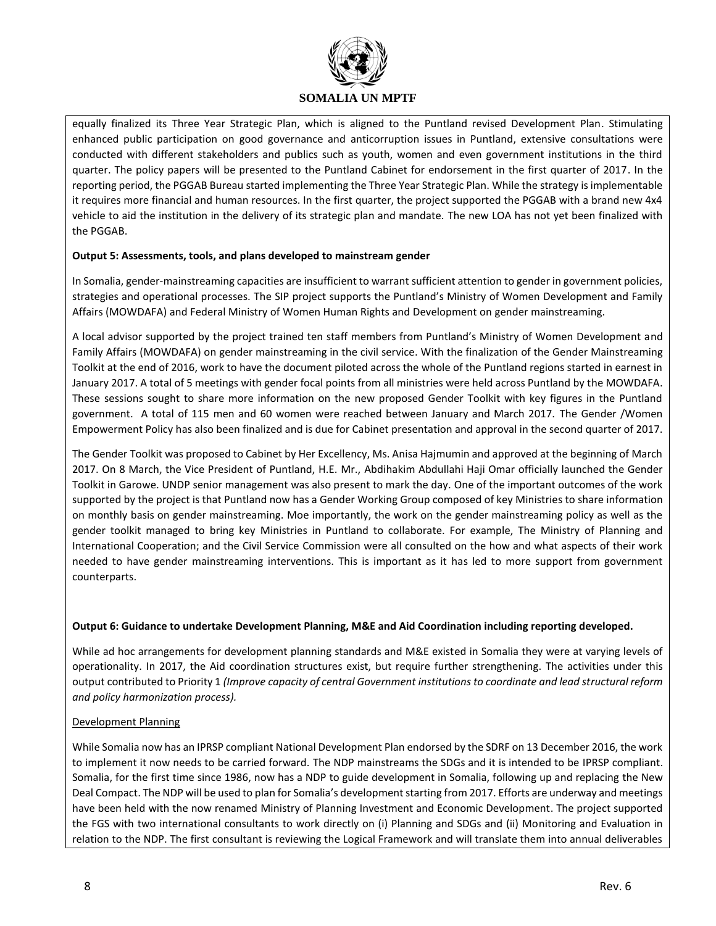

equally finalized its Three Year Strategic Plan, which is aligned to the Puntland revised Development Plan. Stimulating enhanced public participation on good governance and anticorruption issues in Puntland, extensive consultations were conducted with different stakeholders and publics such as youth, women and even government institutions in the third quarter. The policy papers will be presented to the Puntland Cabinet for endorsement in the first quarter of 2017. In the reporting period, the PGGAB Bureau started implementing the Three Year Strategic Plan. While the strategy is implementable it requires more financial and human resources. In the first quarter, the project supported the PGGAB with a brand new 4x4 vehicle to aid the institution in the delivery of its strategic plan and mandate. The new LOA has not yet been finalized with the PGGAB.

### **Output 5: Assessments, tools, and plans developed to mainstream gender**

In Somalia, gender-mainstreaming capacities are insufficient to warrant sufficient attention to gender in government policies, strategies and operational processes. The SIP project supports the Puntland's Ministry of Women Development and Family Affairs (MOWDAFA) and Federal Ministry of Women Human Rights and Development on gender mainstreaming.

A local advisor supported by the project trained ten staff members from Puntland's Ministry of Women Development and Family Affairs (MOWDAFA) on gender mainstreaming in the civil service. With the finalization of the Gender Mainstreaming Toolkit at the end of 2016, work to have the document piloted across the whole of the Puntland regions started in earnest in January 2017. A total of 5 meetings with gender focal points from all ministries were held across Puntland by the MOWDAFA. These sessions sought to share more information on the new proposed Gender Toolkit with key figures in the Puntland government. A total of 115 men and 60 women were reached between January and March 2017. The Gender /Women Empowerment Policy has also been finalized and is due for Cabinet presentation and approval in the second quarter of 2017.

The Gender Toolkit was proposed to Cabinet by Her Excellency, Ms. Anisa Hajmumin and approved at the beginning of March 2017. On 8 March, the Vice President of Puntland, H.E. Mr., Abdihakim Abdullahi Haji Omar officially launched the Gender Toolkit in Garowe. UNDP senior management was also present to mark the day. One of the important outcomes of the work supported by the project is that Puntland now has a Gender Working Group composed of key Ministries to share information on monthly basis on gender mainstreaming. Moe importantly, the work on the gender mainstreaming policy as well as the gender toolkit managed to bring key Ministries in Puntland to collaborate. For example, The Ministry of Planning and International Cooperation; and the Civil Service Commission were all consulted on the how and what aspects of their work needed to have gender mainstreaming interventions. This is important as it has led to more support from government counterparts.

#### **Output 6: Guidance to undertake Development Planning, M&E and Aid Coordination including reporting developed.**

While ad hoc arrangements for development planning standards and M&E existed in Somalia they were at varying levels of operationality. In 2017, the Aid coordination structures exist, but require further strengthening. The activities under this output contributed to Priority 1 *(Improve capacity of central Government institutions to coordinate and lead structural reform and policy harmonization process).*

#### Development Planning

While Somalia now has an IPRSP compliant National Development Plan endorsed by the SDRF on 13 December 2016, the work to implement it now needs to be carried forward. The NDP mainstreams the SDGs and it is intended to be IPRSP compliant. Somalia, for the first time since 1986, now has a NDP to guide development in Somalia, following up and replacing the New Deal Compact. The NDP will be used to plan for Somalia's development starting from 2017. Efforts are underway and meetings have been held with the now renamed Ministry of Planning Investment and Economic Development. The project supported the FGS with two international consultants to work directly on (i) Planning and SDGs and (ii) Monitoring and Evaluation in relation to the NDP. The first consultant is reviewing the Logical Framework and will translate them into annual deliverables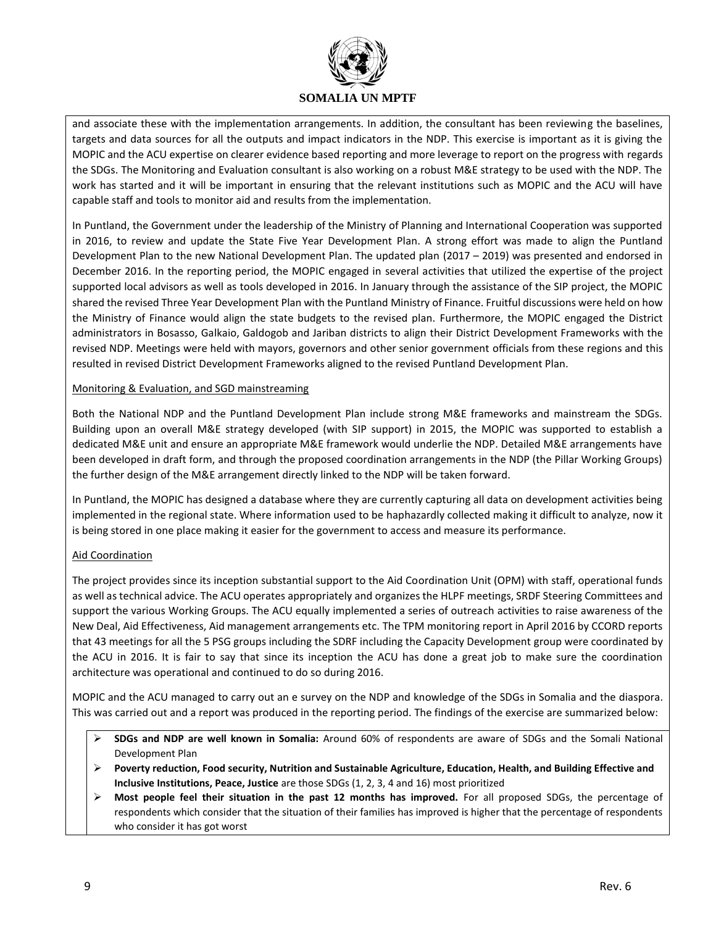

and associate these with the implementation arrangements. In addition, the consultant has been reviewing the baselines, targets and data sources for all the outputs and impact indicators in the NDP. This exercise is important as it is giving the MOPIC and the ACU expertise on clearer evidence based reporting and more leverage to report on the progress with regards the SDGs. The Monitoring and Evaluation consultant is also working on a robust M&E strategy to be used with the NDP. The work has started and it will be important in ensuring that the relevant institutions such as MOPIC and the ACU will have capable staff and tools to monitor aid and results from the implementation.

In Puntland, the Government under the leadership of the Ministry of Planning and International Cooperation was supported in 2016, to review and update the State Five Year Development Plan. A strong effort was made to align the Puntland Development Plan to the new National Development Plan. The updated plan (2017 – 2019) was presented and endorsed in December 2016. In the reporting period, the MOPIC engaged in several activities that utilized the expertise of the project supported local advisors as well as tools developed in 2016. In January through the assistance of the SIP project, the MOPIC shared the revised Three Year Development Plan with the Puntland Ministry of Finance. Fruitful discussions were held on how the Ministry of Finance would align the state budgets to the revised plan. Furthermore, the MOPIC engaged the District administrators in Bosasso, Galkaio, Galdogob and Jariban districts to align their District Development Frameworks with the revised NDP. Meetings were held with mayors, governors and other senior government officials from these regions and this resulted in revised District Development Frameworks aligned to the revised Puntland Development Plan.

### Monitoring & Evaluation, and SGD mainstreaming

Both the National NDP and the Puntland Development Plan include strong M&E frameworks and mainstream the SDGs. Building upon an overall M&E strategy developed (with SIP support) in 2015, the MOPIC was supported to establish a dedicated M&E unit and ensure an appropriate M&E framework would underlie the NDP. Detailed M&E arrangements have been developed in draft form, and through the proposed coordination arrangements in the NDP (the Pillar Working Groups) the further design of the M&E arrangement directly linked to the NDP will be taken forward.

In Puntland, the MOPIC has designed a database where they are currently capturing all data on development activities being implemented in the regional state. Where information used to be haphazardly collected making it difficult to analyze, now it is being stored in one place making it easier for the government to access and measure its performance.

### Aid Coordination

The project provides since its inception substantial support to the Aid Coordination Unit (OPM) with staff, operational funds as well as technical advice. The ACU operates appropriately and organizes the HLPF meetings, SRDF Steering Committees and support the various Working Groups. The ACU equally implemented a series of outreach activities to raise awareness of the New Deal, Aid Effectiveness, Aid management arrangements etc. The TPM monitoring report in April 2016 by CCORD reports that 43 meetings for all the 5 PSG groups including the SDRF including the Capacity Development group were coordinated by the ACU in 2016. It is fair to say that since its inception the ACU has done a great job to make sure the coordination architecture was operational and continued to do so during 2016.

MOPIC and the ACU managed to carry out an e survey on the NDP and knowledge of the SDGs in Somalia and the diaspora. This was carried out and a report was produced in the reporting period. The findings of the exercise are summarized below:

- **SDGs and NDP are well known in Somalia:** Around 60% of respondents are aware of SDGs and the Somali National Development Plan
- **Poverty reduction, Food security, Nutrition and Sustainable Agriculture, Education, Health, and Building Effective and Inclusive Institutions, Peace, Justice** are those SDGs (1, 2, 3, 4 and 16) most prioritized
- **Most people feel their situation in the past 12 months has improved.** For all proposed SDGs, the percentage of respondents which consider that the situation of their families has improved is higher that the percentage of respondents who consider it has got worst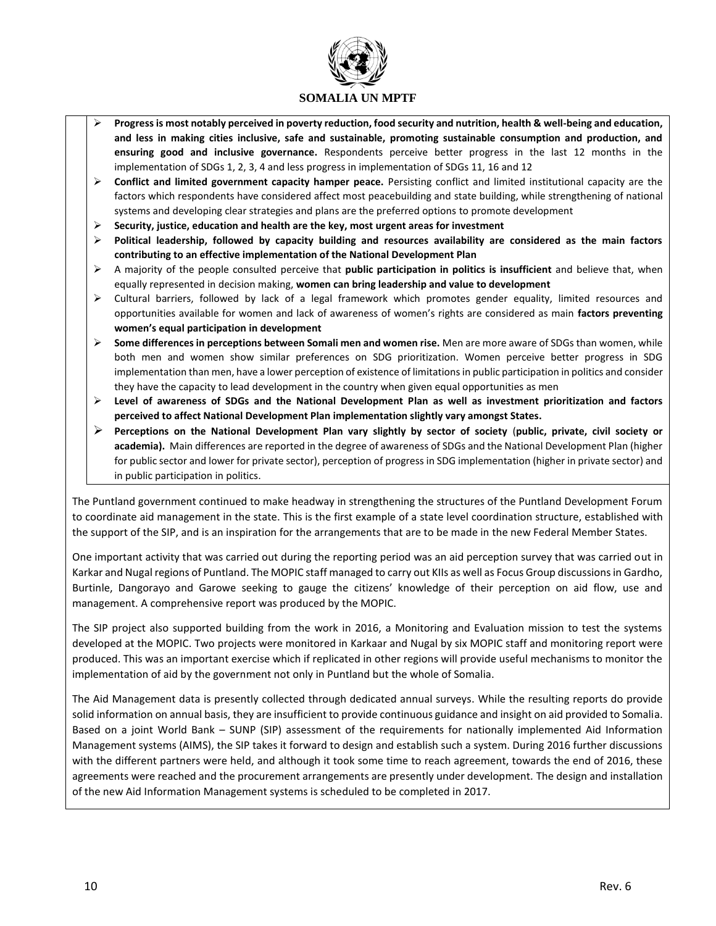

- **Progress is most notably perceived in poverty reduction, food security and nutrition, health & well-being and education, and less in making cities inclusive, safe and sustainable, promoting sustainable consumption and production, and ensuring good and inclusive governance.** Respondents perceive better progress in the last 12 months in the implementation of SDGs 1, 2, 3, 4 and less progress in implementation of SDGs 11, 16 and 12
- **Conflict and limited government capacity hamper peace.** Persisting conflict and limited institutional capacity are the factors which respondents have considered affect most peacebuilding and state building, while strengthening of national systems and developing clear strategies and plans are the preferred options to promote development
- **Security, justice, education and health are the key, most urgent areas for investment**
- **Political leadership, followed by capacity building and resources availability are considered as the main factors contributing to an effective implementation of the National Development Plan**
- A majority of the people consulted perceive that **public participation in politics is insufficient** and believe that, when equally represented in decision making, **women can bring leadership and value to development**
- Cultural barriers, followed by lack of a legal framework which promotes gender equality, limited resources and opportunities available for women and lack of awareness of women's rights are considered as main **factors preventing women's equal participation in development**
- **Some differences in perceptions between Somali men and women rise.** Men are more aware of SDGs than women, while both men and women show similar preferences on SDG prioritization. Women perceive better progress in SDG implementation than men, have a lower perception of existence of limitations in public participation in politics and consider they have the capacity to lead development in the country when given equal opportunities as men
- **Level of awareness of SDGs and the National Development Plan as well as investment prioritization and factors perceived to affect National Development Plan implementation slightly vary amongst States.**
- **Perceptions on the National Development Plan vary slightly by sector of society** (**public, private, civil society or academia).** Main differences are reported in the degree of awareness of SDGs and the National Development Plan (higher for public sector and lower for private sector), perception of progress in SDG implementation (higher in private sector) and in public participation in politics.

The Puntland government continued to make headway in strengthening the structures of the Puntland Development Forum to coordinate aid management in the state. This is the first example of a state level coordination structure, established with the support of the SIP, and is an inspiration for the arrangements that are to be made in the new Federal Member States.

One important activity that was carried out during the reporting period was an aid perception survey that was carried out in Karkar and Nugal regions of Puntland. The MOPIC staff managed to carry out KIIs as well as Focus Group discussions in Gardho, Burtinle, Dangorayo and Garowe seeking to gauge the citizens' knowledge of their perception on aid flow, use and management. A comprehensive report was produced by the MOPIC.

The SIP project also supported building from the work in 2016, a Monitoring and Evaluation mission to test the systems developed at the MOPIC. Two projects were monitored in Karkaar and Nugal by six MOPIC staff and monitoring report were produced. This was an important exercise which if replicated in other regions will provide useful mechanisms to monitor the implementation of aid by the government not only in Puntland but the whole of Somalia.

The Aid Management data is presently collected through dedicated annual surveys. While the resulting reports do provide solid information on annual basis, they are insufficient to provide continuous guidance and insight on aid provided to Somalia. Based on a joint World Bank – SUNP (SIP) assessment of the requirements for nationally implemented Aid Information Management systems (AIMS), the SIP takes it forward to design and establish such a system. During 2016 further discussions with the different partners were held, and although it took some time to reach agreement, towards the end of 2016, these agreements were reached and the procurement arrangements are presently under development. The design and installation of the new Aid Information Management systems is scheduled to be completed in 2017.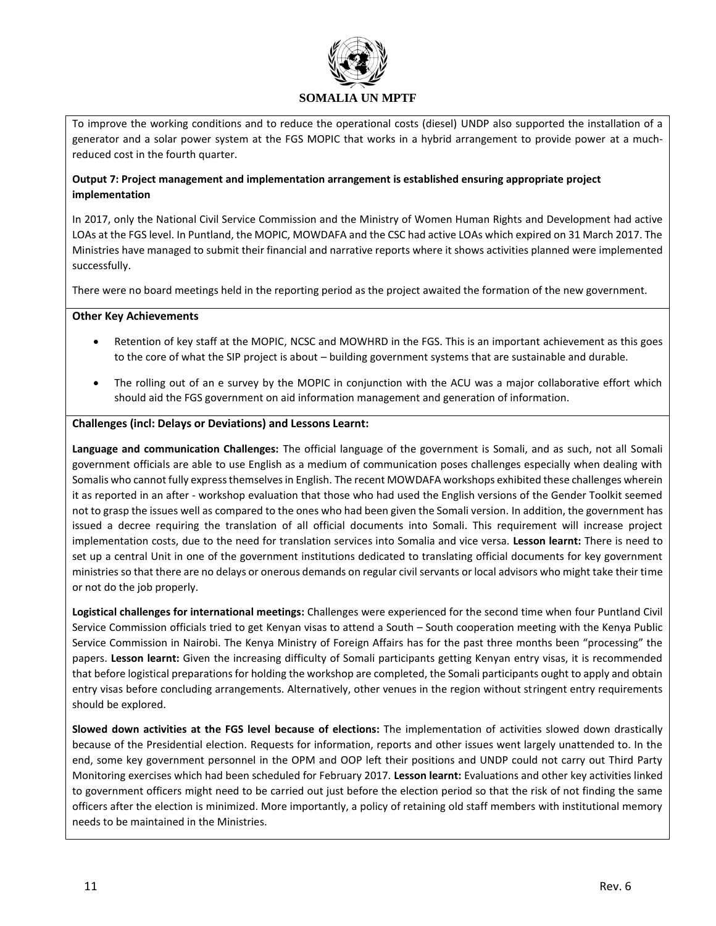

To improve the working conditions and to reduce the operational costs (diesel) UNDP also supported the installation of a generator and a solar power system at the FGS MOPIC that works in a hybrid arrangement to provide power at a muchreduced cost in the fourth quarter.

### **Output 7: Project management and implementation arrangement is established ensuring appropriate project implementation**

In 2017, only the National Civil Service Commission and the Ministry of Women Human Rights and Development had active LOAs at the FGS level. In Puntland, the MOPIC, MOWDAFA and the CSC had active LOAs which expired on 31 March 2017. The Ministries have managed to submit their financial and narrative reports where it shows activities planned were implemented successfully.

There were no board meetings held in the reporting period as the project awaited the formation of the new government.

### **Other Key Achievements**

- Retention of key staff at the MOPIC, NCSC and MOWHRD in the FGS. This is an important achievement as this goes to the core of what the SIP project is about – building government systems that are sustainable and durable.
- The rolling out of an e survey by the MOPIC in conjunction with the ACU was a major collaborative effort which should aid the FGS government on aid information management and generation of information.

### **Challenges (incl: Delays or Deviations) and Lessons Learnt:**

**Language and communication Challenges:** The official language of the government is Somali, and as such, not all Somali government officials are able to use English as a medium of communication poses challenges especially when dealing with Somalis who cannot fully express themselves in English. The recent MOWDAFA workshops exhibited these challenges wherein it as reported in an after - workshop evaluation that those who had used the English versions of the Gender Toolkit seemed not to grasp the issues well as compared to the ones who had been given the Somali version. In addition, the government has issued a decree requiring the translation of all official documents into Somali. This requirement will increase project implementation costs, due to the need for translation services into Somalia and vice versa. **Lesson learnt:** There is need to set up a central Unit in one of the government institutions dedicated to translating official documents for key government ministries so that there are no delays or onerous demands on regular civil servants or local advisors who might take their time or not do the job properly.

**Logistical challenges for international meetings:** Challenges were experienced for the second time when four Puntland Civil Service Commission officials tried to get Kenyan visas to attend a South – South cooperation meeting with the Kenya Public Service Commission in Nairobi. The Kenya Ministry of Foreign Affairs has for the past three months been "processing" the papers. **Lesson learnt:** Given the increasing difficulty of Somali participants getting Kenyan entry visas, it is recommended that before logistical preparations for holding the workshop are completed, the Somali participants ought to apply and obtain entry visas before concluding arrangements. Alternatively, other venues in the region without stringent entry requirements should be explored.

**Slowed down activities at the FGS level because of elections:** The implementation of activities slowed down drastically because of the Presidential election. Requests for information, reports and other issues went largely unattended to. In the end, some key government personnel in the OPM and OOP left their positions and UNDP could not carry out Third Party Monitoring exercises which had been scheduled for February 2017. **Lesson learnt:** Evaluations and other key activities linked to government officers might need to be carried out just before the election period so that the risk of not finding the same officers after the election is minimized. More importantly, a policy of retaining old staff members with institutional memory needs to be maintained in the Ministries.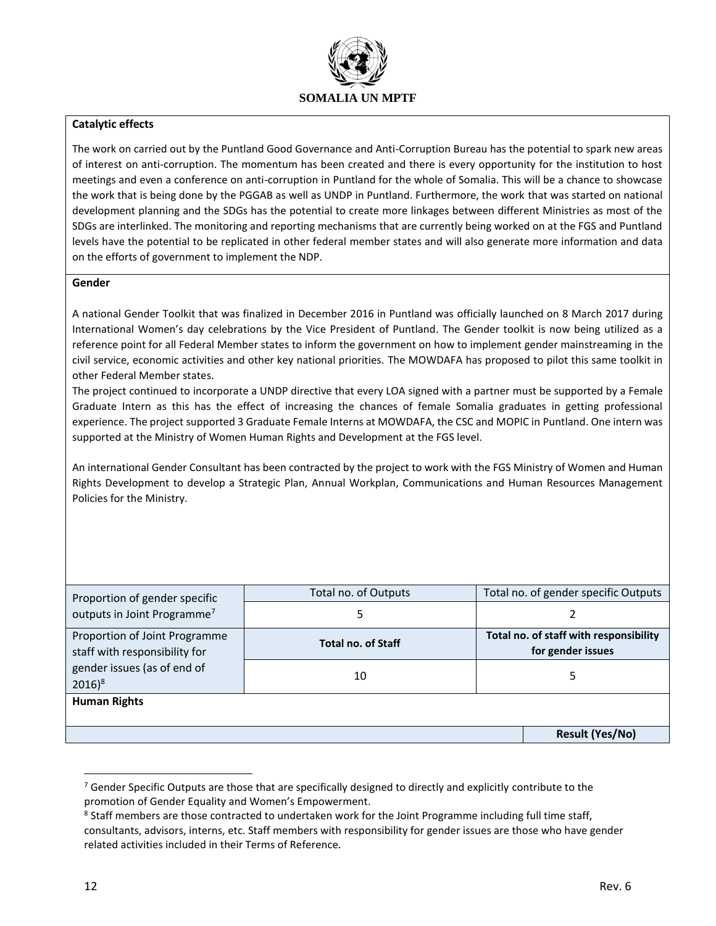

### **Catalytic effects**

The work on carried out by the Puntland Good Governance and Anti-Corruption Bureau has the potential to spark new areas of interest on anti-corruption. The momentum has been created and there is every opportunity for the institution to host meetings and even a conference on anti-corruption in Puntland for the whole of Somalia. This will be a chance to showcase the work that is being done by the PGGAB as well as UNDP in Puntland. Furthermore, the work that was started on national development planning and the SDGs has the potential to create more linkages between different Ministries as most of the SDGs are interlinked. The monitoring and reporting mechanisms that are currently being worked on at the FGS and Puntland levels have the potential to be replicated in other federal member states and will also generate more information and data on the efforts of government to implement the NDP.

#### **Gender**

A national Gender Toolkit that was finalized in December 2016 in Puntland was officially launched on 8 March 2017 during International Women's day celebrations by the Vice President of Puntland. The Gender toolkit is now being utilized as a reference point for all Federal Member states to inform the government on how to implement gender mainstreaming in the civil service, economic activities and other key national priorities. The MOWDAFA has proposed to pilot this same toolkit in other Federal Member states.

The project continued to incorporate a UNDP directive that every LOA signed with a partner must be supported by a Female Graduate Intern as this has the effect of increasing the chances of female Somalia graduates in getting professional experience. The project supported 3 Graduate Female Interns at MOWDAFA, the CSC and MOPIC in Puntland. One intern was supported at the Ministry of Women Human Rights and Development at the FGS level.

An international Gender Consultant has been contracted by the project to work with the FGS Ministry of Women and Human Rights Development to develop a Strategic Plan, Annual Workplan, Communications and Human Resources Management Policies for the Ministry.

| Proportion of gender specific                                  | Total no. of Outputs      | Total no. of gender specific Outputs                        |                        |
|----------------------------------------------------------------|---------------------------|-------------------------------------------------------------|------------------------|
| outputs in Joint Programme <sup>7</sup>                        |                           |                                                             |                        |
| Proportion of Joint Programme<br>staff with responsibility for | <b>Total no. of Staff</b> | Total no. of staff with responsibility<br>for gender issues |                        |
| gender issues (as of end of<br>$2016)^{8}$                     | 10                        | 5                                                           |                        |
| <b>Human Rights</b>                                            |                           |                                                             |                        |
|                                                                |                           |                                                             | <b>Result (Yes/No)</b> |

 $7$  Gender Specific Outputs are those that are specifically designed to directly and explicitly contribute to the promotion of Gender Equality and Women's Empowerment.

<sup>&</sup>lt;sup>8</sup> Staff members are those contracted to undertaken work for the Joint Programme including full time staff, consultants, advisors, interns, etc. Staff members with responsibility for gender issues are those who have gender related activities included in their Terms of Reference.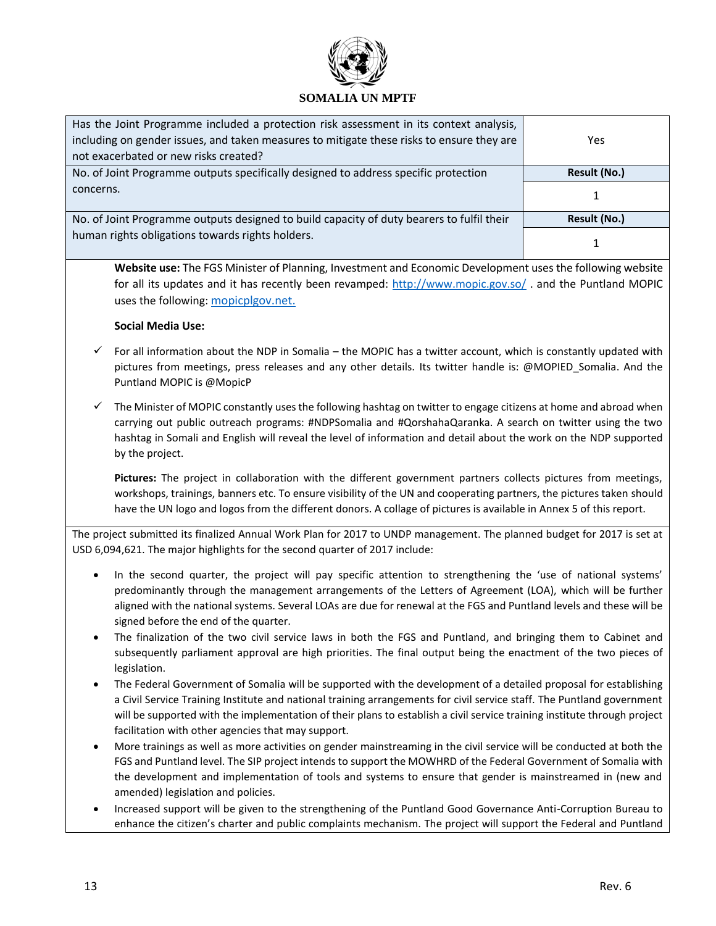

| Has the Joint Programme included a protection risk assessment in its context analysis,    |              |
|-------------------------------------------------------------------------------------------|--------------|
| including on gender issues, and taken measures to mitigate these risks to ensure they are | Yes          |
| not exacerbated or new risks created?                                                     |              |
| No. of Joint Programme outputs specifically designed to address specific protection       | Result (No.) |
| concerns.                                                                                 |              |
|                                                                                           |              |
| No. of Joint Programme outputs designed to build capacity of duty bearers to fulfil their | Result (No.) |
| human rights obligations towards rights holders.                                          |              |

**Website use:** The FGS Minister of Planning, Investment and Economic Development uses the following website for all its updates and it has recently been revamped:<http://www.mopic.gov.so/>. and the Puntland MOPIC uses the following: mopicplgov.net.

## **Social Media Use:**

- For all information about the NDP in Somalia the MOPIC has a twitter account, which is constantly updated with pictures from meetings, press releases and any other details. Its twitter handle is: @MOPIED\_Somalia. And the Puntland MOPIC is @MopicP
- $\checkmark$  The Minister of MOPIC constantly uses the following hashtag on twitter to engage citizens at home and abroad when carrying out public outreach programs: #NDPSomalia and #QorshahaQaranka. A search on twitter using the two hashtag in Somali and English will reveal the level of information and detail about the work on the NDP supported by the project.

**Pictures:** The project in collaboration with the different government partners collects pictures from meetings, workshops, trainings, banners etc. To ensure visibility of the UN and cooperating partners, the pictures taken should have the UN logo and logos from the different donors. A collage of pictures is available in Annex 5 of this report.

The project submitted its finalized Annual Work Plan for 2017 to UNDP management. The planned budget for 2017 is set at USD 6,094,621. The major highlights for the second quarter of 2017 include:

- In the second quarter, the project will pay specific attention to strengthening the 'use of national systems' predominantly through the management arrangements of the Letters of Agreement (LOA), which will be further aligned with the national systems. Several LOAs are due for renewal at the FGS and Puntland levels and these will be signed before the end of the quarter.
- The finalization of the two civil service laws in both the FGS and Puntland, and bringing them to Cabinet and subsequently parliament approval are high priorities. The final output being the enactment of the two pieces of legislation.
- The Federal Government of Somalia will be supported with the development of a detailed proposal for establishing a Civil Service Training Institute and national training arrangements for civil service staff. The Puntland government will be supported with the implementation of their plans to establish a civil service training institute through project facilitation with other agencies that may support.
- More trainings as well as more activities on gender mainstreaming in the civil service will be conducted at both the FGS and Puntland level. The SIP project intends to support the MOWHRD of the Federal Government of Somalia with the development and implementation of tools and systems to ensure that gender is mainstreamed in (new and amended) legislation and policies.
- Increased support will be given to the strengthening of the Puntland Good Governance Anti-Corruption Bureau to enhance the citizen's charter and public complaints mechanism. The project will support the Federal and Puntland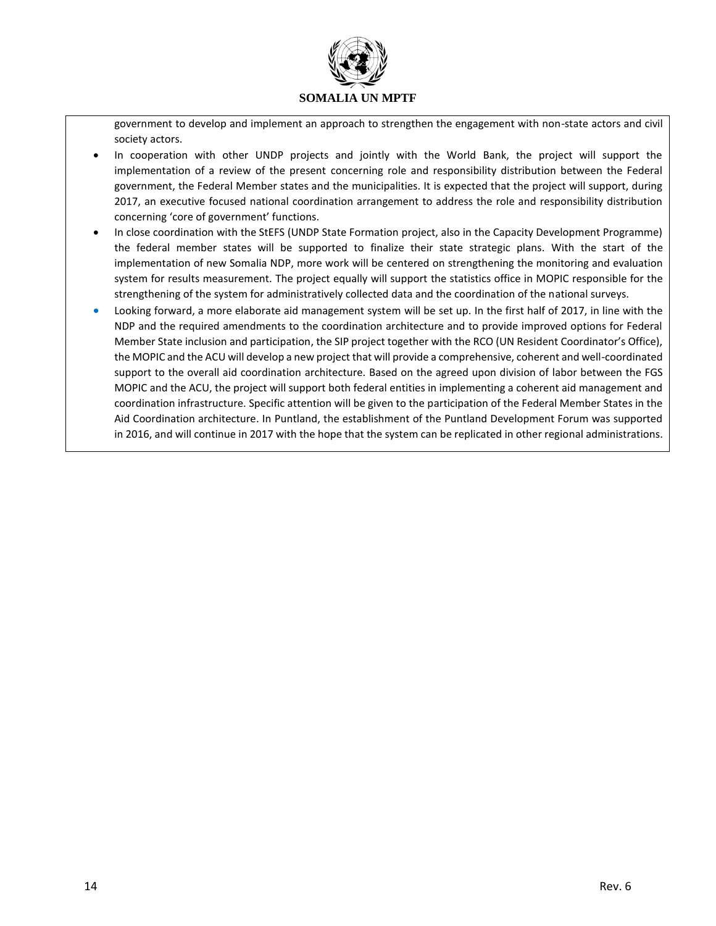

government to develop and implement an approach to strengthen the engagement with non-state actors and civil society actors.

- In cooperation with other UNDP projects and jointly with the World Bank, the project will support the implementation of a review of the present concerning role and responsibility distribution between the Federal government, the Federal Member states and the municipalities. It is expected that the project will support, during 2017, an executive focused national coordination arrangement to address the role and responsibility distribution concerning 'core of government' functions.
- In close coordination with the StEFS (UNDP State Formation project, also in the Capacity Development Programme) the federal member states will be supported to finalize their state strategic plans. With the start of the implementation of new Somalia NDP, more work will be centered on strengthening the monitoring and evaluation system for results measurement. The project equally will support the statistics office in MOPIC responsible for the strengthening of the system for administratively collected data and the coordination of the national surveys.
- Looking forward, a more elaborate aid management system will be set up. In the first half of 2017, in line with the NDP and the required amendments to the coordination architecture and to provide improved options for Federal Member State inclusion and participation, the SIP project together with the RCO (UN Resident Coordinator's Office), the MOPIC and the ACU will develop a new project that will provide a comprehensive, coherent and well-coordinated support to the overall aid coordination architecture. Based on the agreed upon division of labor between the FGS MOPIC and the ACU, the project will support both federal entities in implementing a coherent aid management and coordination infrastructure. Specific attention will be given to the participation of the Federal Member States in the Aid Coordination architecture. In Puntland, the establishment of the Puntland Development Forum was supported in 2016, and will continue in 2017 with the hope that the system can be replicated in other regional administrations.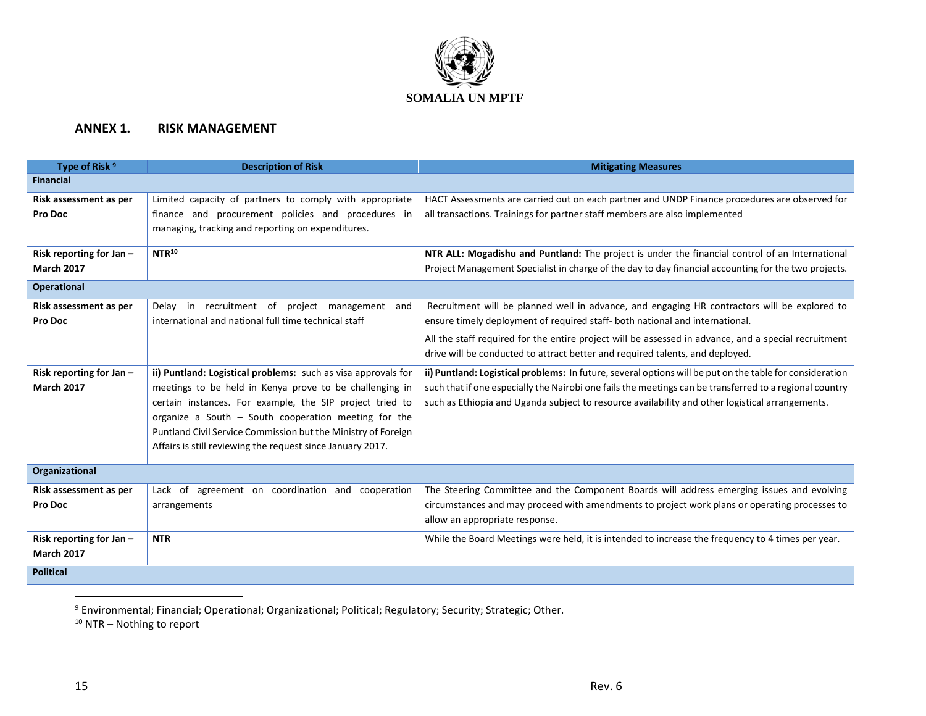

## **ANNEX 1. RISK MANAGEMENT**

| Type of Risk <sup>9</sup> | <b>Description of Risk</b>                                    | <b>Mitigating Measures</b>                                                                               |  |  |  |  |  |  |
|---------------------------|---------------------------------------------------------------|----------------------------------------------------------------------------------------------------------|--|--|--|--|--|--|
| <b>Financial</b>          |                                                               |                                                                                                          |  |  |  |  |  |  |
| Risk assessment as per    | Limited capacity of partners to comply with appropriate       | HACT Assessments are carried out on each partner and UNDP Finance procedures are observed for            |  |  |  |  |  |  |
| Pro Doc                   | finance and procurement policies and procedures in            | all transactions. Trainings for partner staff members are also implemented                               |  |  |  |  |  |  |
|                           | managing, tracking and reporting on expenditures.             |                                                                                                          |  |  |  |  |  |  |
| Risk reporting for Jan-   | NTR <sup>10</sup>                                             | NTR ALL: Mogadishu and Puntland: The project is under the financial control of an International          |  |  |  |  |  |  |
| <b>March 2017</b>         |                                                               | Project Management Specialist in charge of the day to day financial accounting for the two projects.     |  |  |  |  |  |  |
| <b>Operational</b>        |                                                               |                                                                                                          |  |  |  |  |  |  |
| Risk assessment as per    | Delay in recruitment of project management and                | Recruitment will be planned well in advance, and engaging HR contractors will be explored to             |  |  |  |  |  |  |
| Pro Doc                   | international and national full time technical staff          | ensure timely deployment of required staff- both national and international.                             |  |  |  |  |  |  |
|                           |                                                               | All the staff required for the entire project will be assessed in advance, and a special recruitment     |  |  |  |  |  |  |
|                           |                                                               | drive will be conducted to attract better and required talents, and deployed.                            |  |  |  |  |  |  |
| Risk reporting for Jan-   | ii) Puntland: Logistical problems: such as visa approvals for | ii) Puntland: Logistical problems: In future, several options will be put on the table for consideration |  |  |  |  |  |  |
| <b>March 2017</b>         | meetings to be held in Kenya prove to be challenging in       | such that if one especially the Nairobi one fails the meetings can be transferred to a regional country  |  |  |  |  |  |  |
|                           | certain instances. For example, the SIP project tried to      | such as Ethiopia and Uganda subject to resource availability and other logistical arrangements.          |  |  |  |  |  |  |
|                           | organize a South $-$ South cooperation meeting for the        |                                                                                                          |  |  |  |  |  |  |
|                           | Puntland Civil Service Commission but the Ministry of Foreign |                                                                                                          |  |  |  |  |  |  |
|                           | Affairs is still reviewing the request since January 2017.    |                                                                                                          |  |  |  |  |  |  |
| Organizational            |                                                               |                                                                                                          |  |  |  |  |  |  |
| Risk assessment as per    | Lack of agreement on coordination and cooperation             | The Steering Committee and the Component Boards will address emerging issues and evolving                |  |  |  |  |  |  |
| Pro Doc                   | arrangements                                                  | circumstances and may proceed with amendments to project work plans or operating processes to            |  |  |  |  |  |  |
|                           |                                                               | allow an appropriate response.                                                                           |  |  |  |  |  |  |
| Risk reporting for Jan-   | <b>NTR</b>                                                    | While the Board Meetings were held, it is intended to increase the frequency to 4 times per year.        |  |  |  |  |  |  |
| <b>March 2017</b>         |                                                               |                                                                                                          |  |  |  |  |  |  |
| <b>Political</b>          |                                                               |                                                                                                          |  |  |  |  |  |  |

<sup>9</sup> Environmental; Financial; Operational; Organizational; Political; Regulatory; Security; Strategic; Other.

<sup>10</sup> NTR - Nothing to report

 $\overline{a}$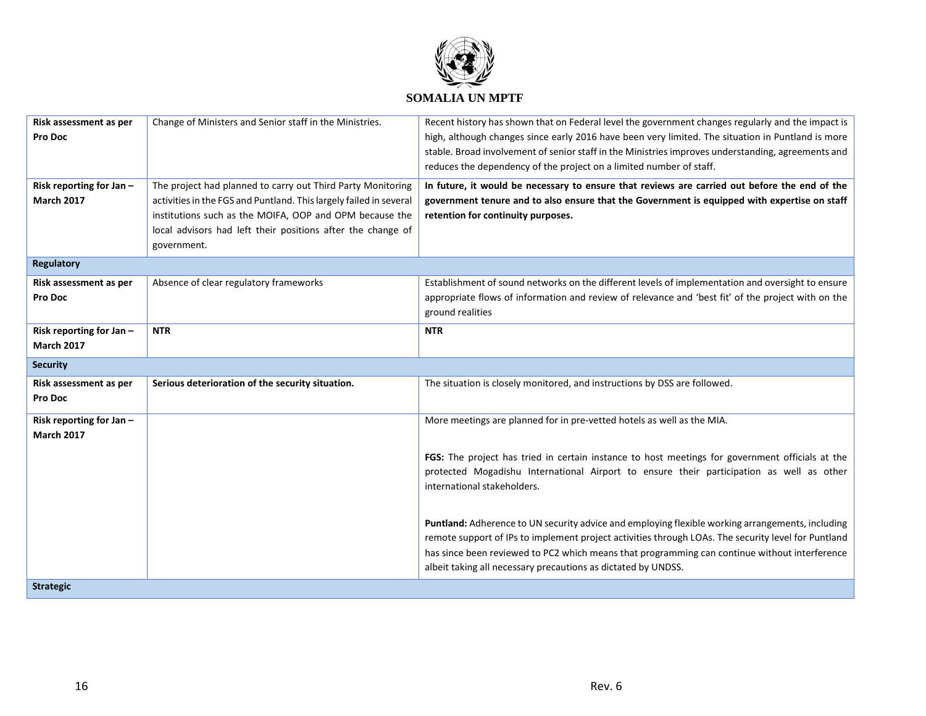

| Risk assessment as per  | Change of Ministers and Senior staff in the Ministries.            | Recent history has shown that on Federal level the government changes regularly and the impact is   |
|-------------------------|--------------------------------------------------------------------|-----------------------------------------------------------------------------------------------------|
| Pro Doc                 |                                                                    | high, although changes since early 2016 have been very limited. The situation in Puntland is more   |
|                         |                                                                    | stable. Broad involvement of senior staff in the Ministries improves understanding, agreements and  |
|                         |                                                                    | reduces the dependency of the project on a limited number of staff.                                 |
| Risk reporting for Jan- | The project had planned to carry out Third Party Monitoring        | In future, it would be necessary to ensure that reviews are carried out before the end of the       |
| <b>March 2017</b>       | activities in the FGS and Puntland. This largely failed in several | government tenure and to also ensure that the Government is equipped with expertise on staff        |
|                         | institutions such as the MOIFA, OOP and OPM because the            | retention for continuity purposes.                                                                  |
|                         | local advisors had left their positions after the change of        |                                                                                                     |
|                         | government.                                                        |                                                                                                     |
| <b>Regulatory</b>       |                                                                    |                                                                                                     |
| Risk assessment as per  | Absence of clear regulatory frameworks                             | Establishment of sound networks on the different levels of implementation and oversight to ensure   |
| Pro Doc                 |                                                                    | appropriate flows of information and review of relevance and 'best fit' of the project with on the  |
|                         |                                                                    | ground realities                                                                                    |
| Risk reporting for Jan- | <b>NTR</b>                                                         | <b>NTR</b>                                                                                          |
| <b>March 2017</b>       |                                                                    |                                                                                                     |
| <b>Security</b>         |                                                                    |                                                                                                     |
| Risk assessment as per  | Serious deterioration of the security situation.                   | The situation is closely monitored, and instructions by DSS are followed.                           |
| Pro Doc                 |                                                                    |                                                                                                     |
| Risk reporting for Jan- |                                                                    | More meetings are planned for in pre-vetted hotels as well as the MIA.                              |
| <b>March 2017</b>       |                                                                    |                                                                                                     |
|                         |                                                                    | FGS: The project has tried in certain instance to host meetings for government officials at the     |
|                         |                                                                    | protected Mogadishu International Airport to ensure their participation as well as other            |
|                         |                                                                    | international stakeholders.                                                                         |
|                         |                                                                    |                                                                                                     |
|                         |                                                                    |                                                                                                     |
|                         |                                                                    | Puntland: Adherence to UN security advice and employing flexible working arrangements, including    |
|                         |                                                                    | remote support of IPs to implement project activities through LOAs. The security level for Puntland |
|                         |                                                                    | has since been reviewed to PC2 which means that programming can continue without interference       |
|                         |                                                                    | albeit taking all necessary precautions as dictated by UNDSS.                                       |
| <b>Strategic</b>        |                                                                    |                                                                                                     |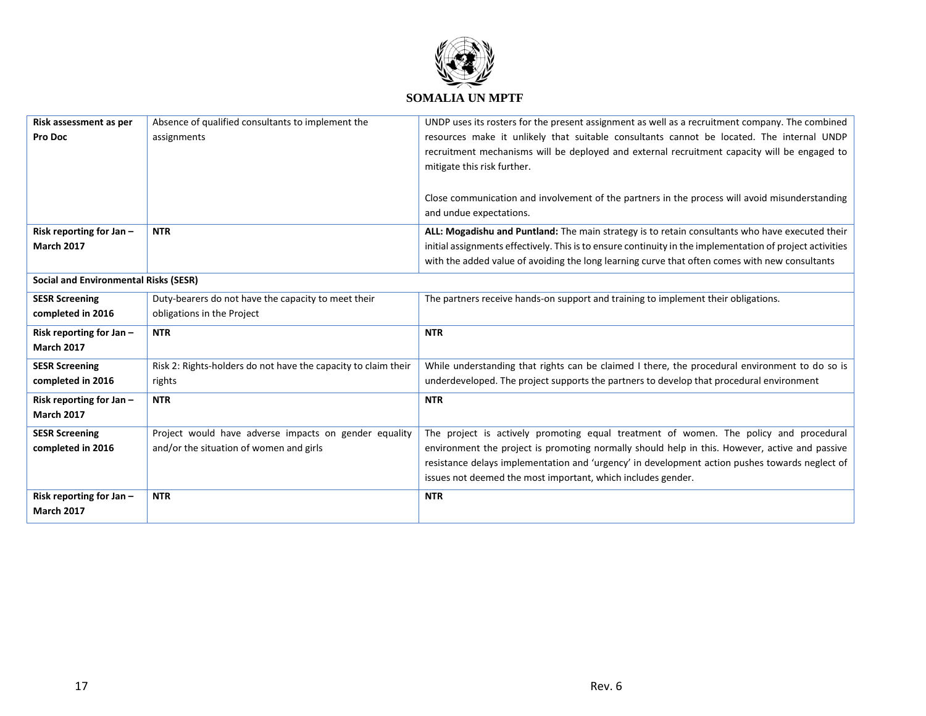

| Risk assessment as per                       | Absence of qualified consultants to implement the              | UNDP uses its rosters for the present assignment as well as a recruitment company. The combined           |  |  |  |
|----------------------------------------------|----------------------------------------------------------------|-----------------------------------------------------------------------------------------------------------|--|--|--|
| Pro Doc                                      | assignments                                                    | resources make it unlikely that suitable consultants cannot be located. The internal UNDP                 |  |  |  |
|                                              |                                                                | recruitment mechanisms will be deployed and external recruitment capacity will be engaged to              |  |  |  |
|                                              |                                                                | mitigate this risk further.                                                                               |  |  |  |
|                                              |                                                                |                                                                                                           |  |  |  |
|                                              |                                                                | Close communication and involvement of the partners in the process will avoid misunderstanding            |  |  |  |
|                                              |                                                                | and undue expectations.                                                                                   |  |  |  |
| Risk reporting for Jan-                      | <b>NTR</b>                                                     | ALL: Mogadishu and Puntland: The main strategy is to retain consultants who have executed their           |  |  |  |
| <b>March 2017</b>                            |                                                                | initial assignments effectively. This is to ensure continuity in the implementation of project activities |  |  |  |
|                                              |                                                                | with the added value of avoiding the long learning curve that often comes with new consultants            |  |  |  |
|                                              |                                                                |                                                                                                           |  |  |  |
| <b>Social and Environmental Risks (SESR)</b> |                                                                |                                                                                                           |  |  |  |
| <b>SESR Screening</b>                        | Duty-bearers do not have the capacity to meet their            | The partners receive hands-on support and training to implement their obligations.                        |  |  |  |
| completed in 2016                            | obligations in the Project                                     |                                                                                                           |  |  |  |
| Risk reporting for Jan-                      | <b>NTR</b>                                                     | <b>NTR</b>                                                                                                |  |  |  |
| <b>March 2017</b>                            |                                                                |                                                                                                           |  |  |  |
| <b>SESR Screening</b>                        | Risk 2: Rights-holders do not have the capacity to claim their | While understanding that rights can be claimed I there, the procedural environment to do so is            |  |  |  |
| completed in 2016                            | rights                                                         | underdeveloped. The project supports the partners to develop that procedural environment                  |  |  |  |
| Risk reporting for Jan -                     | <b>NTR</b>                                                     | <b>NTR</b>                                                                                                |  |  |  |
| <b>March 2017</b>                            |                                                                |                                                                                                           |  |  |  |
| <b>SESR Screening</b>                        | Project would have adverse impacts on gender equality          | The project is actively promoting equal treatment of women. The policy and procedural                     |  |  |  |
| completed in 2016                            | and/or the situation of women and girls                        | environment the project is promoting normally should help in this. However, active and passive            |  |  |  |
|                                              |                                                                | resistance delays implementation and 'urgency' in development action pushes towards neglect of            |  |  |  |
|                                              |                                                                | issues not deemed the most important, which includes gender.                                              |  |  |  |
| Risk reporting for Jan-                      | <b>NTR</b>                                                     | <b>NTR</b>                                                                                                |  |  |  |
| <b>March 2017</b>                            |                                                                |                                                                                                           |  |  |  |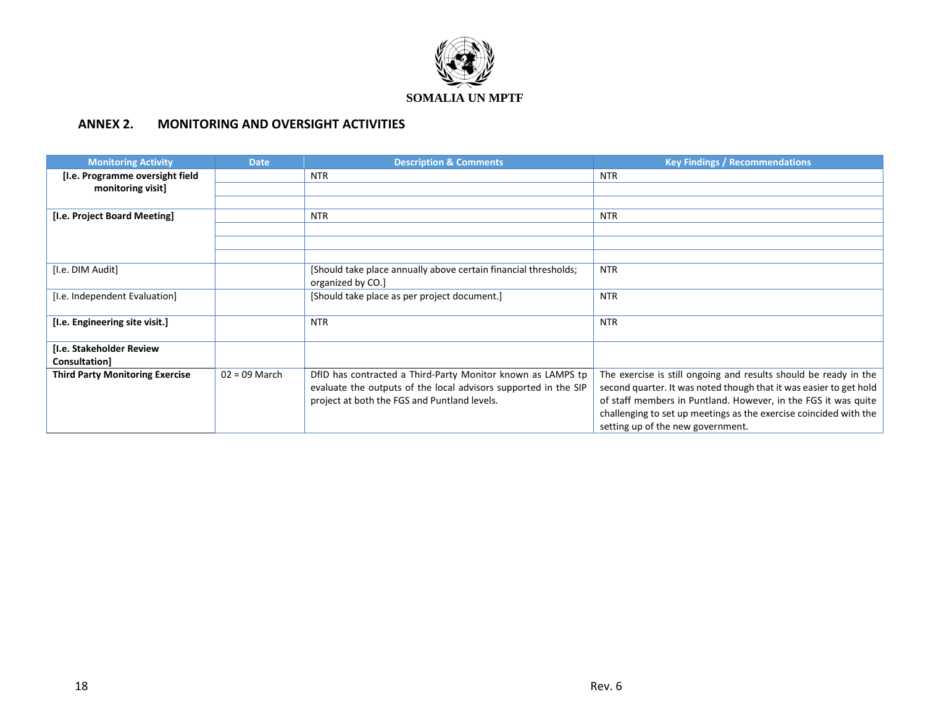

# **ANNEX 2. MONITORING AND OVERSIGHT ACTIVITIES**

| <b>Monitoring Activity</b>                | <b>Date</b>     | <b>Description &amp; Comments</b>                                                                                                                                              | <b>Key Findings / Recommendations</b>                                                                                                                                                                                                                                                                              |  |  |
|-------------------------------------------|-----------------|--------------------------------------------------------------------------------------------------------------------------------------------------------------------------------|--------------------------------------------------------------------------------------------------------------------------------------------------------------------------------------------------------------------------------------------------------------------------------------------------------------------|--|--|
| [I.e. Programme oversight field           |                 | <b>NTR</b>                                                                                                                                                                     | <b>NTR</b>                                                                                                                                                                                                                                                                                                         |  |  |
| monitoring visit]                         |                 |                                                                                                                                                                                |                                                                                                                                                                                                                                                                                                                    |  |  |
|                                           |                 |                                                                                                                                                                                |                                                                                                                                                                                                                                                                                                                    |  |  |
| [I.e. Project Board Meeting]              |                 | NTR.                                                                                                                                                                           | NTR.                                                                                                                                                                                                                                                                                                               |  |  |
|                                           |                 |                                                                                                                                                                                |                                                                                                                                                                                                                                                                                                                    |  |  |
|                                           |                 |                                                                                                                                                                                |                                                                                                                                                                                                                                                                                                                    |  |  |
|                                           |                 |                                                                                                                                                                                |                                                                                                                                                                                                                                                                                                                    |  |  |
| [I.e. DIM Audit]                          |                 | [Should take place annually above certain financial thresholds;<br>organized by CO.]                                                                                           | <b>NTR</b>                                                                                                                                                                                                                                                                                                         |  |  |
| [I.e. Independent Evaluation]             |                 | [Should take place as per project document.]                                                                                                                                   | <b>NTR</b>                                                                                                                                                                                                                                                                                                         |  |  |
| [I.e. Engineering site visit.]            |                 | NTR.                                                                                                                                                                           | <b>NTR</b>                                                                                                                                                                                                                                                                                                         |  |  |
| [I.e. Stakeholder Review<br>Consultation] |                 |                                                                                                                                                                                |                                                                                                                                                                                                                                                                                                                    |  |  |
| <b>Third Party Monitoring Exercise</b>    | $02 = 09$ March | DfID has contracted a Third-Party Monitor known as LAMPS tp<br>evaluate the outputs of the local advisors supported in the SIP<br>project at both the FGS and Puntland levels. | The exercise is still ongoing and results should be ready in the<br>second quarter. It was noted though that it was easier to get hold<br>of staff members in Puntland. However, in the FGS it was quite<br>challenging to set up meetings as the exercise coincided with the<br>setting up of the new government. |  |  |